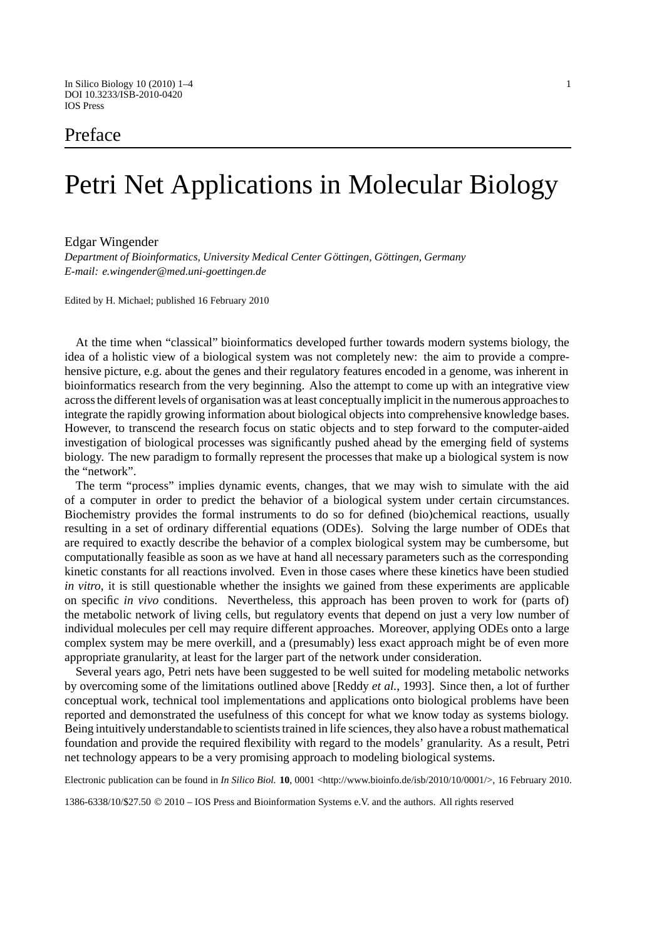# Preface

# Petri Net Applications in Molecular Biology

## Edgar Wingender

*Department of Bioinformatics, University Medical Center Göttingen, Göttingen, Germany E-mail: e.wingender@med.uni-goettingen.de*

Edited by H. Michael; published 16 February 2010

At the time when "classical" bioinformatics developed further towards modern systems biology, the idea of a holistic view of a biological system was not completely new: the aim to provide a comprehensive picture, e.g. about the genes and their regulatory features encoded in a genome, was inherent in bioinformatics research from the very beginning. Also the attempt to come up with an integrative view across the different levels of organisation was at least conceptually implicit in the numerous approaches to integrate the rapidly growing information about biological objects into comprehensive knowledge bases. However, to transcend the research focus on static objects and to step forward to the computer-aided investigation of biological processes was significantly pushed ahead by the emerging field of systems biology. The new paradigm to formally represent the processes that make up a biological system is now the "network".

The term "process" implies dynamic events, changes, that we may wish to simulate with the aid of a computer in order to predict the behavior of a biological system under certain circumstances. Biochemistry provides the formal instruments to do so for defined (bio)chemical reactions, usually resulting in a set of ordinary differential equations (ODEs). Solving the large number of ODEs that are required to exactly describe the behavior of a complex biological system may be cumbersome, but computationally feasible as soon as we have at hand all necessary parameters such as the corresponding kinetic constants for all reactions involved. Even in those cases where these kinetics have been studied *in vitro*, it is still questionable whether the insights we gained from these experiments are applicable on specific *in vivo* conditions. Nevertheless, this approach has been proven to work for (parts of) the metabolic network of living cells, but regulatory events that depend on just a very low number of individual molecules per cell may require different approaches. Moreover, applying ODEs onto a large complex system may be mere overkill, and a (presumably) less exact approach might be of even more appropriate granularity, at least for the larger part of the network under consideration.

Several years ago, Petri nets have been suggested to be well suited for modeling metabolic networks by overcoming some of the limitations outlined above [Reddy *et al.*, 1993]. Since then, a lot of further conceptual work, technical tool implementations and applications onto biological problems have been reported and demonstrated the usefulness of this concept for what we know today as systems biology. Being intuitively understandable to scientists trained in life sciences, they also have a robust mathematical foundation and provide the required flexibility with regard to the models' granularity. As a result, Petri net technology appears to be a very promising approach to modeling biological systems.

Electronic publication can be found in *In Silico Biol.* **10**, 0001 <http://www.bioinfo.de/isb/2010/10/0001/>, 16 February 2010.

1386-6338/10/\$27.50 2010 – IOS Press and Bioinformation Systems e.V. and the authors. All rights reserved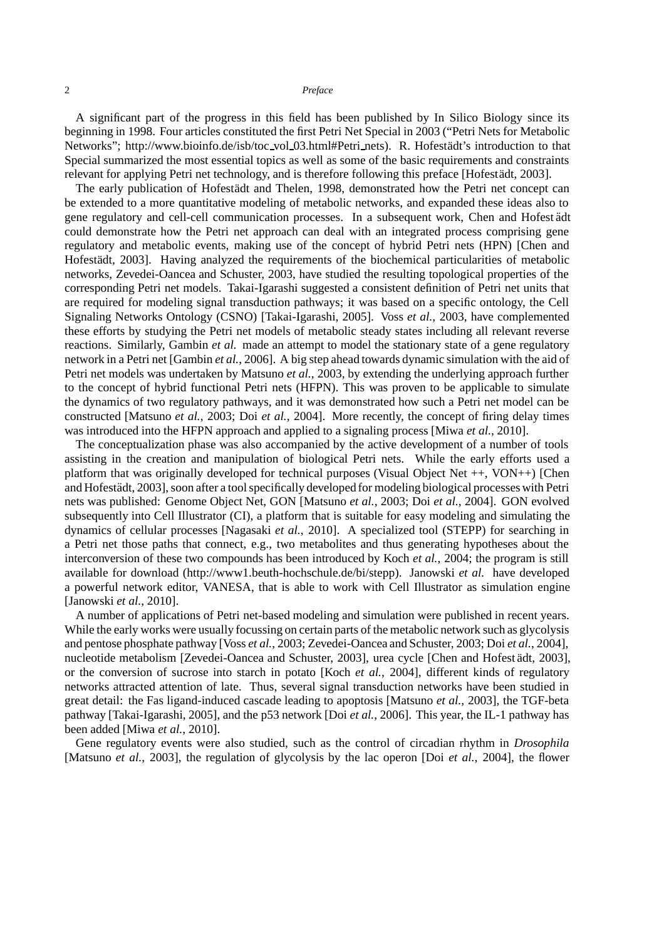A significant part of the progress in this field has been published by In Silico Biology since its beginning in 1998. Four articles constituted the first Petri Net Special in 2003 ("Petri Nets for Metabolic Networks"; http://www.bioinfo.de/isb/toc\_vol\_03.html#Petri\_nets). R. Hofestädt's introduction to that Special summarized the most essential topics as well as some of the basic requirements and constraints relevant for applying Petri net technology, and is therefore following this preface [Hofestädt, 2003].

The early publication of Hofestädt and Thelen, 1998, demonstrated how the Petri net concept can be extended to a more quantitative modeling of metabolic networks, and expanded these ideas also to gene regulatory and cell-cell communication processes. In a subsequent work, Chen and Hofest ädt could demonstrate how the Petri net approach can deal with an integrated process comprising gene regulatory and metabolic events, making use of the concept of hybrid Petri nets (HPN) [Chen and Hofestädt, 2003]. Having analyzed the requirements of the biochemical particularities of metabolic networks, Zevedei-Oancea and Schuster, 2003, have studied the resulting topological properties of the corresponding Petri net models. Takai-Igarashi suggested a consistent definition of Petri net units that are required for modeling signal transduction pathways; it was based on a specific ontology, the Cell Signaling Networks Ontology (CSNO) [Takai-Igarashi, 2005]. Voss *et al.*, 2003, have complemented these efforts by studying the Petri net models of metabolic steady states including all relevant reverse reactions. Similarly, Gambin *et al.* made an attempt to model the stationary state of a gene regulatory network in a Petri net [Gambin *et al.*, 2006]. A big step ahead towards dynamic simulation with the aid of Petri net models was undertaken by Matsuno *et al.*, 2003, by extending the underlying approach further to the concept of hybrid functional Petri nets (HFPN). This was proven to be applicable to simulate the dynamics of two regulatory pathways, and it was demonstrated how such a Petri net model can be constructed [Matsuno *et al.*, 2003; Doi *et al.*, 2004]. More recently, the concept of firing delay times was introduced into the HFPN approach and applied to a signaling process [Miwa *et al.*, 2010].

The conceptualization phase was also accompanied by the active development of a number of tools assisting in the creation and manipulation of biological Petri nets. While the early efforts used a platform that was originally developed for technical purposes (Visual Object Net ++, VON++) [Chen and Hofestadt, 2003], soon after a tool specifically developed for modeling biological processes with Petri ¨ nets was published: Genome Object Net, GON [Matsuno *et al.*, 2003; Doi *et al.*, 2004]. GON evolved subsequently into Cell Illustrator (CI), a platform that is suitable for easy modeling and simulating the dynamics of cellular processes [Nagasaki *et al.*, 2010]. A specialized tool (STEPP) for searching in a Petri net those paths that connect, e.g., two metabolites and thus generating hypotheses about the interconversion of these two compounds has been introduced by Koch *et al.*, 2004; the program is still available for download (http://www1.beuth-hochschule.de/bi/stepp). Janowski *et al.* have developed a powerful network editor, VANESA, that is able to work with Cell Illustrator as simulation engine [Janowski *et al.*, 2010].

A number of applications of Petri net-based modeling and simulation were published in recent years. While the early works were usually focussing on certain parts of the metabolic network such as glycolysis and pentose phosphate pathway [Voss *et al.*, 2003; Zevedei-Oancea and Schuster, 2003; Doi *et al.*, 2004], nucleotide metabolism [Zevedei-Oancea and Schuster, 2003], urea cycle [Chen and Hofest ädt, 2003], or the conversion of sucrose into starch in potato [Koch *et al.*, 2004], different kinds of regulatory networks attracted attention of late. Thus, several signal transduction networks have been studied in great detail: the Fas ligand-induced cascade leading to apoptosis [Matsuno *et al.*, 2003], the TGF-beta pathway [Takai-Igarashi, 2005], and the p53 network [Doi *et al.*, 2006]. This year, the IL-1 pathway has been added [Miwa *et al.*, 2010].

Gene regulatory events were also studied, such as the control of circadian rhythm in *Drosophila* [Matsuno *et al.*, 2003], the regulation of glycolysis by the lac operon [Doi *et al.*, 2004], the flower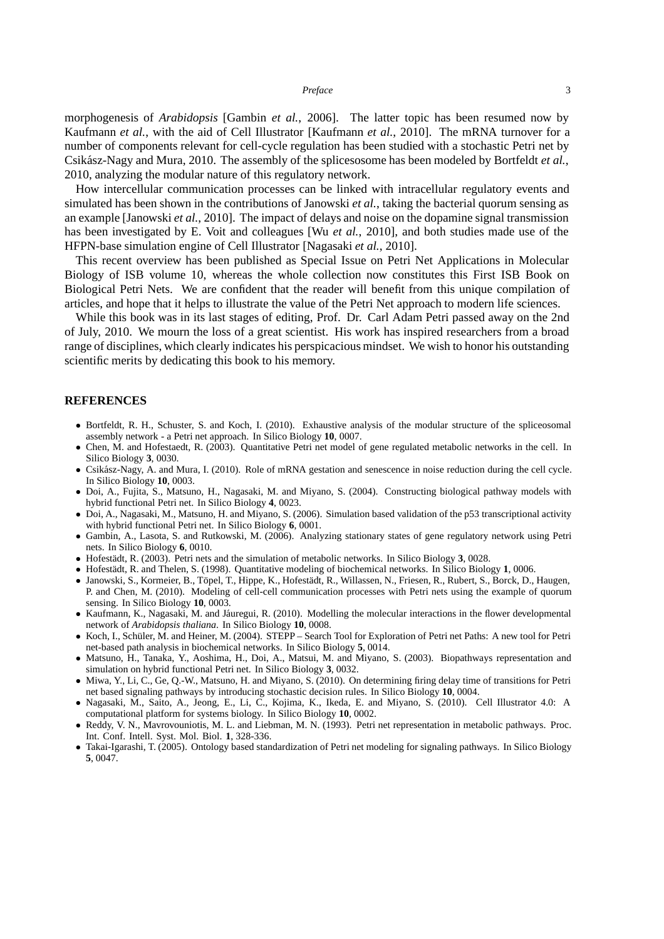#### *Preface* 3

morphogenesis of *Arabidopsis* [Gambin *et al.*, 2006]. The latter topic has been resumed now by Kaufmann *et al.*, with the aid of Cell Illustrator [Kaufmann *et al.*, 2010]. The mRNA turnover for a number of components relevant for cell-cycle regulation has been studied with a stochastic Petri net by Csikász-Nagy and Mura, 2010. The assembly of the splicesosome has been modeled by Bortfeldt et al., 2010, analyzing the modular nature of this regulatory network.

How intercellular communication processes can be linked with intracellular regulatory events and simulated has been shown in the contributions of Janowski *et al.*, taking the bacterial quorum sensing as an example [Janowski *et al.*, 2010]. The impact of delays and noise on the dopamine signal transmission has been investigated by E. Voit and colleagues [Wu *et al.*, 2010], and both studies made use of the HFPN-base simulation engine of Cell Illustrator [Nagasaki *et al.*, 2010].

This recent overview has been published as Special Issue on Petri Net Applications in Molecular Biology of ISB volume 10, whereas the whole collection now constitutes this First ISB Book on Biological Petri Nets. We are confident that the reader will benefit from this unique compilation of articles, and hope that it helps to illustrate the value of the Petri Net approach to modern life sciences.

While this book was in its last stages of editing, Prof. Dr. Carl Adam Petri passed away on the 2nd of July, 2010. We mourn the loss of a great scientist. His work has inspired researchers from a broad range of disciplines, which clearly indicates his perspicacious mindset. We wish to honor his outstanding scientific merits by dedicating this book to his memory.

### **REFERENCES**

- Bortfeldt, R. H., Schuster, S. and Koch, I. (2010). Exhaustive analysis of the modular structure of the spliceosomal assembly network - a Petri net approach. In Silico Biology **10**, 0007.
- *•* Chen, M. and Hofestaedt, R. (2003). Quantitative Petri net model of gene regulated metabolic networks in the cell. In Silico Biology **3**, 0030.
- Csikász-Nagy, A. and Mura, I. (2010). Role of mRNA gestation and senescence in noise reduction during the cell cycle. In Silico Biology **10**, 0003.
- *•* Doi, A., Fujita, S., Matsuno, H., Nagasaki, M. and Miyano, S. (2004). Constructing biological pathway models with hybrid functional Petri net. In Silico Biology **4**, 0023.
- *•* Doi, A., Nagasaki, M., Matsuno, H. and Miyano, S. (2006). Simulation based validation of the p53 transcriptional activity with hybrid functional Petri net. In Silico Biology **6**, 0001.
- *•* Gambin, A., Lasota, S. and Rutkowski, M. (2006). Analyzing stationary states of gene regulatory network using Petri nets. In Silico Biology **6**, 0010.
- Hofestädt, R. (2003). Petri nets and the simulation of metabolic networks. In Silico Biology 3, 0028.
- Hofestädt, R. and Thelen, S. (1998). Quantitative modeling of biochemical networks. In Silico Biology 1, 0006.
- Janowski, S., Kormeier, B., Töpel, T., Hippe, K., Hofestädt, R., Willassen, N., Friesen, R., Rubert, S., Borck, D., Haugen, P. and Chen, M. (2010). Modeling of cell-cell communication processes with Petri nets using the example of quorum sensing. In Silico Biology **10**, 0003.
- Kaufmann, K., Nagasaki, M. and Jáuregui, R. (2010). Modelling the molecular interactions in the flower developmental network of *Arabidopsis thaliana*. In Silico Biology **10**, 0008.
- *•* Koch, I., Schuler, M. and Heiner, M. (2004). STEPP Search Tool for Exploration of Petri net Paths: A new tool for Petri ¨ net-based path analysis in biochemical networks. In Silico Biology **5**, 0014.
- *•* Matsuno, H., Tanaka, Y., Aoshima, H., Doi, A., Matsui, M. and Miyano, S. (2003). Biopathways representation and simulation on hybrid functional Petri net. In Silico Biology **3**, 0032.
- *•* Miwa, Y., Li, C., Ge, Q.-W., Matsuno, H. and Miyano, S. (2010). On determining firing delay time of transitions for Petri net based signaling pathways by introducing stochastic decision rules. In Silico Biology **10**, 0004.
- *•* Nagasaki, M., Saito, A., Jeong, E., Li, C., Kojima, K., Ikeda, E. and Miyano, S. (2010). Cell Illustrator 4.0: A computational platform for systems biology. In Silico Biology **10**, 0002.
- *•* Reddy, V. N., Mavrovouniotis, M. L. and Liebman, M. N. (1993). Petri net representation in metabolic pathways. Proc. Int. Conf. Intell. Syst. Mol. Biol. **1**, 328-336.
- *•* Takai-Igarashi, T. (2005). Ontology based standardization of Petri net modeling for signaling pathways. In Silico Biology **5**, 0047.